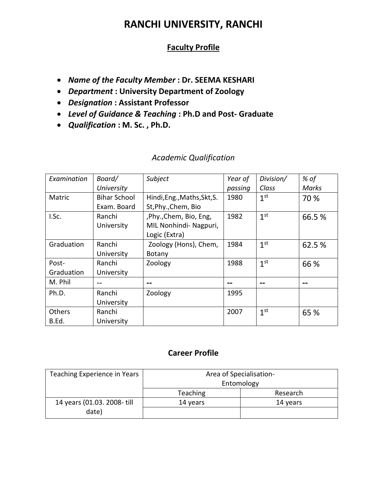# **RANCHI UNIVERSITY, RANCHI**

## **Faculty Profile**

- *Name of the Faculty Member* **: Dr. SEEMA KESHARI**
- *Department* **: University Department of Zoology**
- *Designation* **: Assistant Professor**
- *Level of Guidance & Teaching* **: Ph.D and Post- Graduate**
- *Qualification* **: M. Sc. , Ph.D.**

## *Academic Qualification*

| Examination | Board/              | Subject                     | Year of | Division/       | % of   |
|-------------|---------------------|-----------------------------|---------|-----------------|--------|
|             | University          |                             | passing | Class           | Marks  |
| Matric      | <b>Bihar School</b> | Hindi, Eng., Maths, Skt, S. | 1980    | 1 <sup>st</sup> | 70 %   |
|             | Exam. Board         | St, Phy., Chem, Bio         |         |                 |        |
| I.Sc.       | Ranchi              | ,Phy.,Chem, Bio, Eng,       | 1982    | 1 <sup>st</sup> | 66.5%  |
|             | University          | MIL Nonhindi- Nagpuri,      |         |                 |        |
|             |                     | Logic (Extra)               |         |                 |        |
| Graduation  | Ranchi              | Zoology (Hons), Chem,       | 1984    | 1 <sup>st</sup> | 62.5 % |
|             | University          | Botany                      |         |                 |        |
| Post-       | Ranchi              | Zoology                     | 1988    | 1 <sup>st</sup> | 66 %   |
| Graduation  | University          |                             |         |                 |        |
| M. Phil     |                     | --                          |         | --              | --     |
| Ph.D.       | Ranchi              | Zoology                     | 1995    |                 |        |
|             | University          |                             |         |                 |        |
| Others      | Ranchi              |                             | 2007    | 1 <sup>st</sup> | 65 %   |
| B.Ed.       | University          |                             |         |                 |        |

### **Career Profile**

| Teaching Experience in Years | Area of Specialisation- |          |
|------------------------------|-------------------------|----------|
|                              | Entomology              |          |
|                              | Teaching                | Research |
| 14 years (01.03. 2008- till  | 14 years                | 14 years |
| date)                        |                         |          |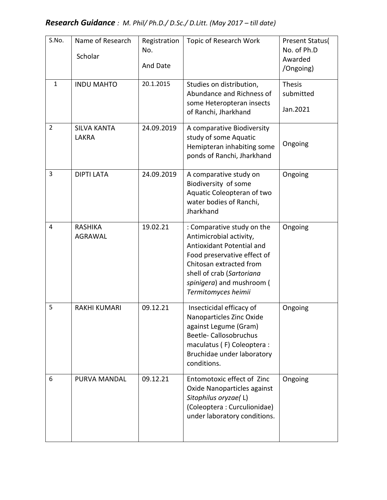| S.No.          | Name of Research<br>Scholar        | Registration<br>No.<br>And Date | Topic of Research Work                                                                                                                                                                                                        | <b>Present Status(</b><br>No. of Ph.D<br>Awarded<br>/Ongoing) |
|----------------|------------------------------------|---------------------------------|-------------------------------------------------------------------------------------------------------------------------------------------------------------------------------------------------------------------------------|---------------------------------------------------------------|
| $\mathbf{1}$   | <b>INDU MAHTO</b>                  | 20.1.2015                       | Studies on distribution,<br>Abundance and Richness of<br>some Heteropteran insects<br>of Ranchi, Jharkhand                                                                                                                    | <b>Thesis</b><br>submitted<br>Jan.2021                        |
| $\overline{2}$ | <b>SILVA KANTA</b><br><b>LAKRA</b> | 24.09.2019                      | A comparative Biodiversity<br>study of some Aquatic<br>Hemipteran inhabiting some<br>ponds of Ranchi, Jharkhand                                                                                                               | Ongoing                                                       |
| 3              | <b>DIPTI LATA</b>                  | 24.09.2019                      | A comparative study on<br>Biodiversity of some<br>Aquatic Coleopteran of two<br>water bodies of Ranchi,<br>Jharkhand                                                                                                          | Ongoing                                                       |
| 4              | <b>RASHIKA</b><br><b>AGRAWAL</b>   | 19.02.21                        | : Comparative study on the<br>Antimicrobial activity,<br>Antioxidant Potential and<br>Food preservative effect of<br>Chitosan extracted from<br>shell of crab (Sartoriana<br>spinigera) and mushroom (<br>Termitomyces heimii | Ongoing                                                       |
| 5              | <b>RAKHI KUMARI</b>                | 09.12.21                        | Insecticidal efficacy of<br>Nanoparticles Zinc Oxide<br>against Legume (Gram)<br>Beetle-Callosobruchus<br>maculatus (F) Coleoptera :<br>Bruchidae under laboratory<br>conditions.                                             | Ongoing                                                       |
| 6              | PURVA MANDAL                       | 09.12.21                        | Entomotoxic effect of Zinc<br>Oxide Nanoparticles against<br>Sitophilus oryzae(L)<br>(Coleoptera: Curculionidae)<br>under laboratory conditions.                                                                              | Ongoing                                                       |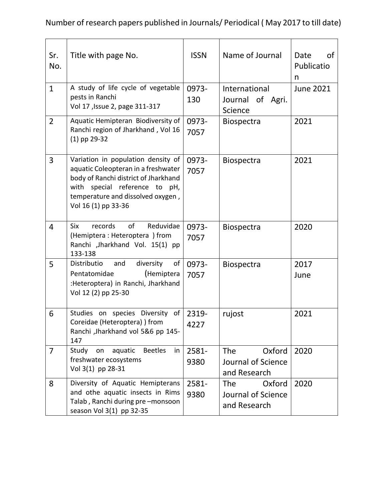Number of research papers published in Journals/ Periodical ( May 2017 to till date)

| Sr.<br>No.     | Title with page No.                                                                                                                                                                                            | <b>ISSN</b>   | Name of Journal                                            | Date<br>οf<br>Publicatio<br>n |
|----------------|----------------------------------------------------------------------------------------------------------------------------------------------------------------------------------------------------------------|---------------|------------------------------------------------------------|-------------------------------|
| $\mathbf{1}$   | A study of life cycle of vegetable<br>pests in Ranchi<br>Vol 17, Issue 2, page 311-317                                                                                                                         | 0973-<br>130  | International<br>Journal of Agri.<br>Science               | <b>June 2021</b>              |
| $\overline{2}$ | Aquatic Hemipteran Biodiversity of<br>Ranchi region of Jharkhand, Vol 16<br>$(1)$ pp 29-32                                                                                                                     | 0973-<br>7057 | Biospectra                                                 | 2021                          |
| 3              | Variation in population density of<br>aquatic Coleopteran in a freshwater<br>body of Ranchi district of Jharkhand<br>with special reference to pH,<br>temperature and dissolved oxygen,<br>Vol 16 (1) pp 33-36 | 0973-<br>7057 | <b>Biospectra</b>                                          | 2021                          |
| 4              | of<br>Reduvidae<br>Six<br>records<br>(Hemiptera: Heteroptera) from<br>Ranchi ,Jharkhand Vol. 15(1) pp<br>133-138                                                                                               | 0973-<br>7057 | <b>Biospectra</b>                                          | 2020                          |
| 5              | diversity<br>of<br>Distributio<br>and<br>(Hemiptera<br>Pentatomidae<br>:Heteroptera) in Ranchi, Jharkhand<br>Vol 12 (2) pp 25-30                                                                               | 0973-<br>7057 | <b>Biospectra</b>                                          | 2017<br>June                  |
| 6              | Studies on species Diversity of<br>Coreidae (Heteroptera) ) from<br>Ranchi , Jharkhand vol 5&6 pp 145-<br>147                                                                                                  | 2319-<br>4227 | rujost                                                     | 2021                          |
| $\overline{7}$ | Study<br>aquatic<br><b>Beetles</b><br>on<br>in<br>freshwater ecosystems<br>Vol 3(1) pp 28-31                                                                                                                   | 2581-<br>9380 | Oxford<br><b>The</b><br>Journal of Science<br>and Research | 2020                          |
| 8              | Diversity of Aquatic Hemipterans<br>and othe aquatic insects in Rims<br>Talab, Ranchi during pre-monsoon<br>season Vol 3(1) pp 32-35                                                                           | 2581-<br>9380 | Oxford<br><b>The</b><br>Journal of Science<br>and Research | 2020                          |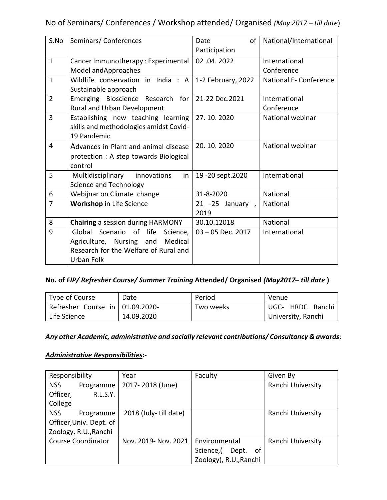## No of Seminars/ Conferences / Workshop attended/ Organised *(May 2017 – till date*)

| S.No           | Seminars/Conferences                                                                                                              | of<br>Date<br>Participation | National/International      |
|----------------|-----------------------------------------------------------------------------------------------------------------------------------|-----------------------------|-----------------------------|
| $\mathbf{1}$   | Cancer Immunotherapy: Experimental<br>Model and Approaches                                                                        | 02.04.2022                  | International<br>Conference |
| $\mathbf{1}$   | Wildlife conservation in India : A<br>Sustainable approach                                                                        | 1-2 February, 2022          | National E- Conference      |
| $\overline{2}$ | Emerging Bioscience Research for<br>Rural and Urban Development                                                                   | 21-22 Dec.2021              | International<br>Conference |
| $\overline{3}$ | Establishing new teaching learning<br>skills and methodologies amidst Covid-<br>19 Pandemic                                       | 27.10.2020                  | National webinar            |
| $\overline{4}$ | Advances in Plant and animal disease<br>protection : A step towards Biological<br>control                                         | 20.10.2020                  | National webinar            |
| 5              | Multidisciplinary<br>innovations<br>in<br>Science and Technology                                                                  | 19 - 20 sept. 2020          | International               |
| 6              | Webijnar on Climate change                                                                                                        | 31-8-2020                   | National                    |
| $\overline{7}$ | Workshop in Life Science                                                                                                          | 21 -25 January,<br>2019     | National                    |
| 8              | <b>Chairing</b> a session during HARMONY                                                                                          | 30.10.12018                 | <b>National</b>             |
| 9              | Global Scenario of life<br>Science,<br>Medical<br>Agriculture, Nursing and<br>Research for the Welfare of Rural and<br>Urban Folk | $03 - 05$ Dec. 2017         | International               |

### **No. of** *FIP/ Refresher Course/ Summer Training* **Attended/ Organised** *(May2017– till date* **)**

| Type of Course                      | Date       | Period    | Venue              |
|-------------------------------------|------------|-----------|--------------------|
| Refresher Course in $ 01.09.2020$ - |            | Two weeks | UGC- HRDC Ranchi   |
| Life Science                        | 14.09.2020 |           | University, Ranchi |

*Any other Academic, administrative and socially relevant contributions/ Consultancy & awards*:

### *Administrative Responsibilities***:-**

| Responsibility            |                         | Year                  | Faculty                  | Given By          |
|---------------------------|-------------------------|-----------------------|--------------------------|-------------------|
| <b>NSS</b>                | Programme               | 2017-2018 (June)      |                          | Ranchi University |
| Officer,                  | <b>R.L.S.Y.</b>         |                       |                          |                   |
| College                   |                         |                       |                          |                   |
| <b>NSS</b>                | Programme               | 2018 (July-till date) |                          | Ranchi University |
|                           | Officer, Univ. Dept. of |                       |                          |                   |
| Zoology, R.U., Ranchi     |                         |                       |                          |                   |
| <b>Course Coordinator</b> |                         | Nov. 2019- Nov. 2021  | Environmental            | Ranchi University |
|                           |                         |                       | 0f<br>Dept.<br>Science,( |                   |
|                           |                         |                       | Zoology), R.U., Ranchi   |                   |